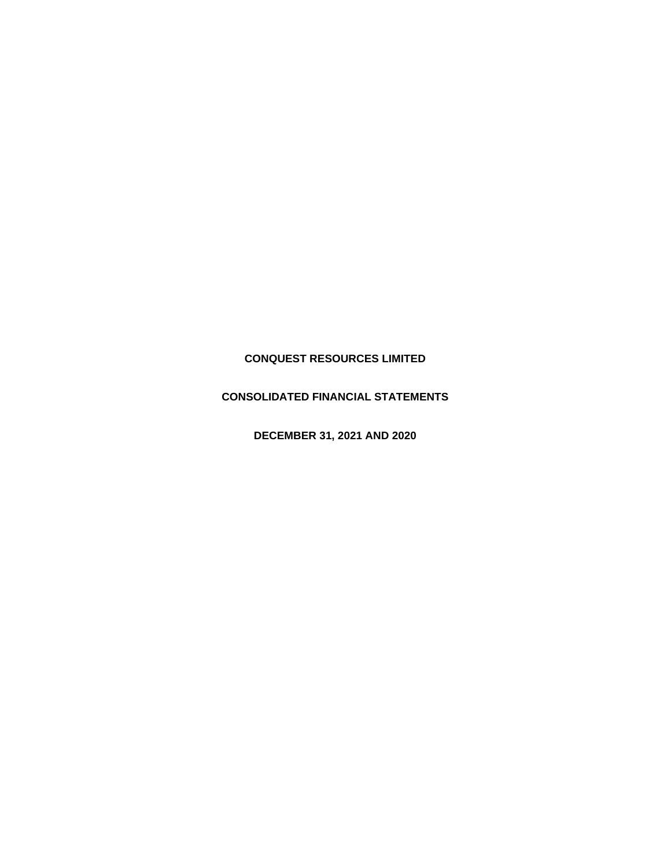# **CONQUEST RESOURCES LIMITED**

**CONSOLIDATED FINANCIAL STATEMENTS**

**DECEMBER 31, 2021 AND 2020**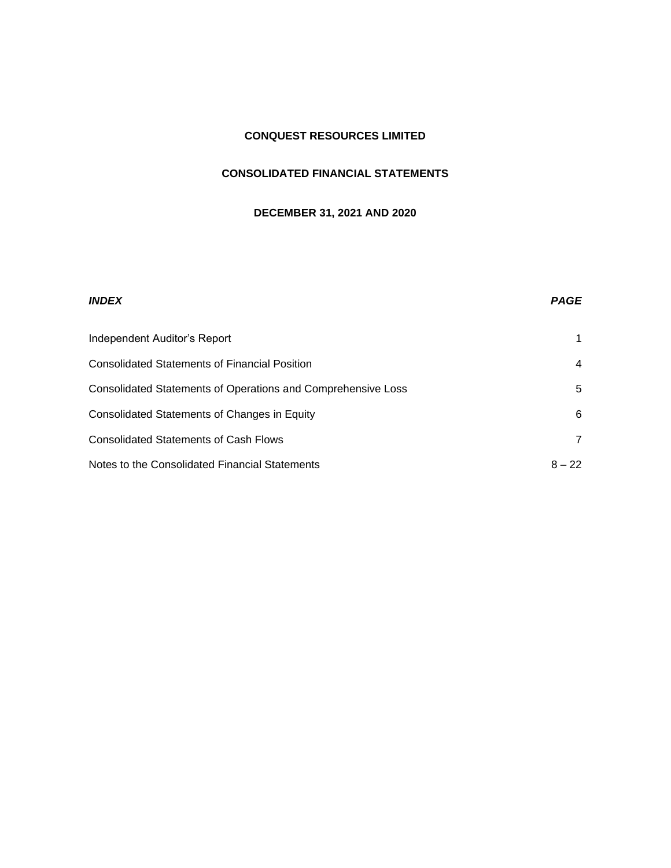# **CONQUEST RESOURCES LIMITED**

# **CONSOLIDATED FINANCIAL STATEMENTS**

# **DECEMBER 31, 2021 AND 2020**

| <b>INDEX</b>                                                 | <b>PAGE</b>    |
|--------------------------------------------------------------|----------------|
| Independent Auditor's Report                                 | 1              |
| <b>Consolidated Statements of Financial Position</b>         | 4              |
| Consolidated Statements of Operations and Comprehensive Loss | 5              |
| Consolidated Statements of Changes in Equity                 | 6              |
| <b>Consolidated Statements of Cash Flows</b>                 | $\overline{7}$ |
| Notes to the Consolidated Financial Statements               | $8 - 22$       |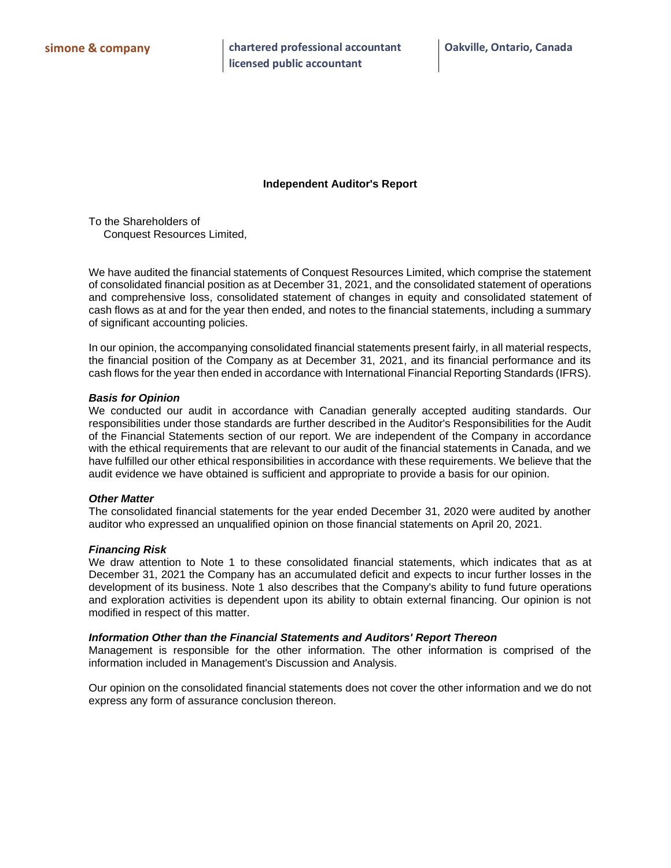# **Independent Auditor's Report**

To the Shareholders of Conquest Resources Limited,

We have audited the financial statements of Conquest Resources Limited, which comprise the statement of consolidated financial position as at December 31, 2021, and the consolidated statement of operations and comprehensive loss, consolidated statement of changes in equity and consolidated statement of cash flows as at and for the year then ended, and notes to the financial statements, including a summary of significant accounting policies.

In our opinion, the accompanying consolidated financial statements present fairly, in all material respects, the financial position of the Company as at December 31, 2021, and its financial performance and its cash flows for the year then ended in accordance with International Financial Reporting Standards (IFRS).

## *Basis for Opinion*

We conducted our audit in accordance with Canadian generally accepted auditing standards. Our responsibilities under those standards are further described in the Auditor's Responsibilities for the Audit of the Financial Statements section of our report. We are independent of the Company in accordance with the ethical requirements that are relevant to our audit of the financial statements in Canada, and we have fulfilled our other ethical responsibilities in accordance with these requirements. We believe that the audit evidence we have obtained is sufficient and appropriate to provide a basis for our opinion.

# *Other Matter*

The consolidated financial statements for the year ended December 31, 2020 were audited by another auditor who expressed an unqualified opinion on those financial statements on April 20, 2021.

# *Financing Risk*

We draw attention to Note 1 to these consolidated financial statements, which indicates that as at December 31, 2021 the Company has an accumulated deficit and expects to incur further losses in the development of its business. Note 1 also describes that the Company's ability to fund future operations and exploration activities is dependent upon its ability to obtain external financing. Our opinion is not modified in respect of this matter.

## *Information Other than the Financial Statements and Auditors' Report Thereon*

Management is responsible for the other information. The other information is comprised of the information included in Management's Discussion and Analysis.

Our opinion on the consolidated financial statements does not cover the other information and we do not express any form of assurance conclusion thereon.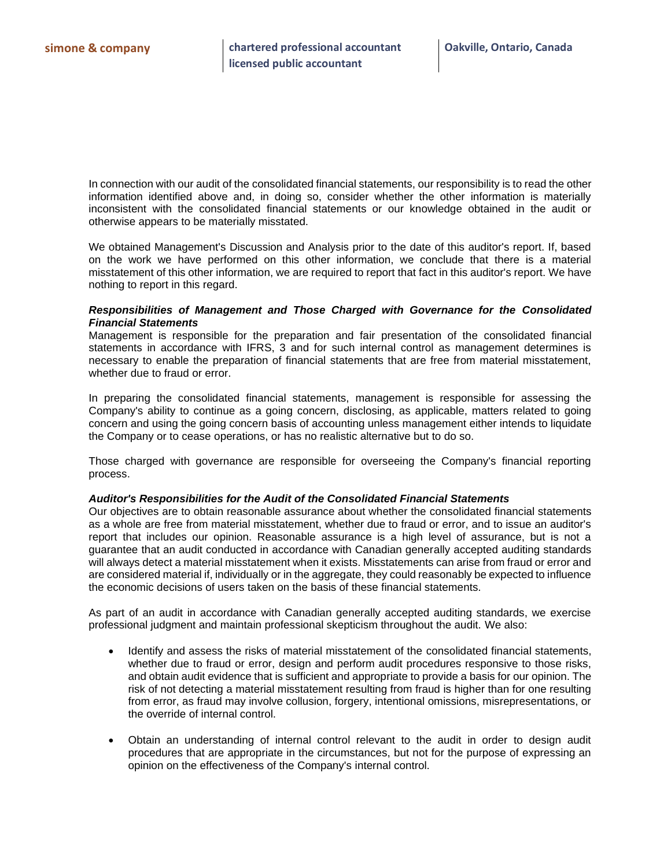In connection with our audit of the consolidated financial statements, our responsibility is to read the other information identified above and, in doing so, consider whether the other information is materially inconsistent with the consolidated financial statements or our knowledge obtained in the audit or otherwise appears to be materially misstated.

We obtained Management's Discussion and Analysis prior to the date of this auditor's report. If, based on the work we have performed on this other information, we conclude that there is a material misstatement of this other information, we are required to report that fact in this auditor's report. We have nothing to report in this regard.

## *Responsibilities of Management and Those Charged with Governance for the Consolidated Financial Statements*

Management is responsible for the preparation and fair presentation of the consolidated financial statements in accordance with IFRS, 3 and for such internal control as management determines is necessary to enable the preparation of financial statements that are free from material misstatement, whether due to fraud or error.

In preparing the consolidated financial statements, management is responsible for assessing the Company's ability to continue as a going concern, disclosing, as applicable, matters related to going concern and using the going concern basis of accounting unless management either intends to liquidate the Company or to cease operations, or has no realistic alternative but to do so.

Those charged with governance are responsible for overseeing the Company's financial reporting process.

## *Auditor's Responsibilities for the Audit of the Consolidated Financial Statements*

Our objectives are to obtain reasonable assurance about whether the consolidated financial statements as a whole are free from material misstatement, whether due to fraud or error, and to issue an auditor's report that includes our opinion. Reasonable assurance is a high level of assurance, but is not a guarantee that an audit conducted in accordance with Canadian generally accepted auditing standards will always detect a material misstatement when it exists. Misstatements can arise from fraud or error and are considered material if, individually or in the aggregate, they could reasonably be expected to influence the economic decisions of users taken on the basis of these financial statements.

As part of an audit in accordance with Canadian generally accepted auditing standards, we exercise professional judgment and maintain professional skepticism throughout the audit. We also:

- Identify and assess the risks of material misstatement of the consolidated financial statements, whether due to fraud or error, design and perform audit procedures responsive to those risks, and obtain audit evidence that is sufficient and appropriate to provide a basis for our opinion. The risk of not detecting a material misstatement resulting from fraud is higher than for one resulting from error, as fraud may involve collusion, forgery, intentional omissions, misrepresentations, or the override of internal control.
- Obtain an understanding of internal control relevant to the audit in order to design audit procedures that are appropriate in the circumstances, but not for the purpose of expressing an opinion on the effectiveness of the Company's internal control.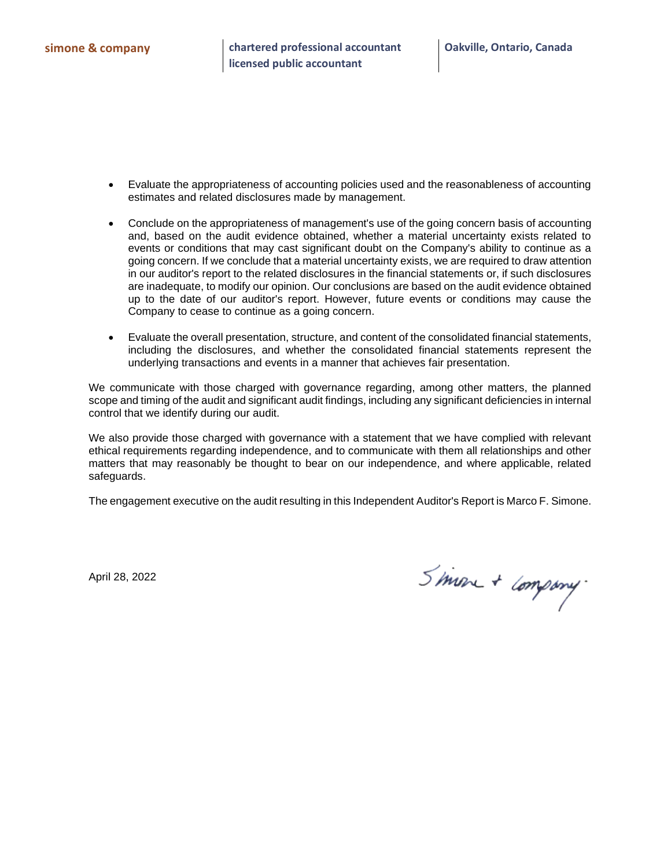- Evaluate the appropriateness of accounting policies used and the reasonableness of accounting estimates and related disclosures made by management.
- Conclude on the appropriateness of management's use of the going concern basis of accounting and, based on the audit evidence obtained, whether a material uncertainty exists related to events or conditions that may cast significant doubt on the Company's ability to continue as a going concern. If we conclude that a material uncertainty exists, we are required to draw attention in our auditor's report to the related disclosures in the financial statements or, if such disclosures are inadequate, to modify our opinion. Our conclusions are based on the audit evidence obtained up to the date of our auditor's report. However, future events or conditions may cause the Company to cease to continue as a going concern.
- Evaluate the overall presentation, structure, and content of the consolidated financial statements, including the disclosures, and whether the consolidated financial statements represent the underlying transactions and events in a manner that achieves fair presentation.

We communicate with those charged with governance regarding, among other matters, the planned scope and timing of the audit and significant audit findings, including any significant deficiencies in internal control that we identify during our audit.

We also provide those charged with governance with a statement that we have complied with relevant ethical requirements regarding independence, and to communicate with them all relationships and other matters that may reasonably be thought to bear on our independence, and where applicable, related safeguards.

The engagement executive on the audit resulting in this Independent Auditor's Report is Marco F. Simone.

April 28, 2022

Simon + company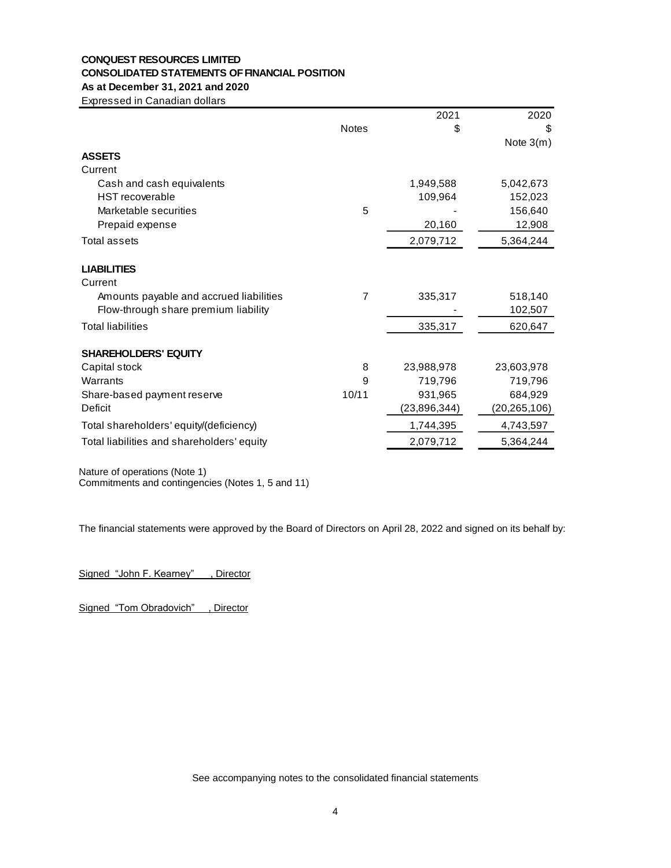# **CONQUEST RESOURCES LIMITED CONSOLIDATED STATEMENTS OF FINANCIAL POSITION**

**As at December 31, 2021 and 2020** Expressed in Canadian dollars

| xprococa in canadian achaic                |              |              |                |
|--------------------------------------------|--------------|--------------|----------------|
|                                            |              | 2021         | 2020           |
|                                            | <b>Notes</b> | \$           | \$             |
|                                            |              |              | Note $3(m)$    |
| <b>ASSETS</b>                              |              |              |                |
| Current                                    |              |              |                |
| Cash and cash equivalents                  |              | 1,949,588    | 5,042,673      |
| <b>HST</b> recoverable                     |              | 109,964      | 152,023        |
| Marketable securities                      | 5            |              | 156,640        |
| Prepaid expense                            |              | 20,160       | 12,908         |
| <b>Total assets</b>                        |              | 2,079,712    | 5,364,244      |
| <b>LIABILITIES</b>                         |              |              |                |
| Current                                    |              |              |                |
| Amounts payable and accrued liabilities    | 7            | 335,317      | 518,140        |
| Flow-through share premium liability       |              |              | 102,507        |
| <b>Total liabilities</b>                   |              | 335,317      | 620,647        |
| <b>SHAREHOLDERS' EQUITY</b>                |              |              |                |
| Capital stock                              | 8            | 23,988,978   | 23,603,978     |
| Warrants                                   | 9            | 719,796      | 719,796        |
| Share-based payment reserve                | 10/11        | 931,965      | 684,929        |
| Deficit                                    |              | (23,896,344) | (20, 265, 106) |
| Total shareholders' equity/(deficiency)    |              | 1,744,395    | 4,743,597      |
| Total liabilities and shareholders' equity |              | 2,079,712    | 5,364,244      |
|                                            |              |              |                |

Nature of operations (Note 1) Commitments and contingencies (Notes 1, 5 and 11)

The financial statements were approved by the Board of Directors on April 28, 2022 and signed on its behalf by:

Signed "John F. Kearney", Director

Signed "Tom Obradovich", Director

See accompanying notes to the consolidated financial statements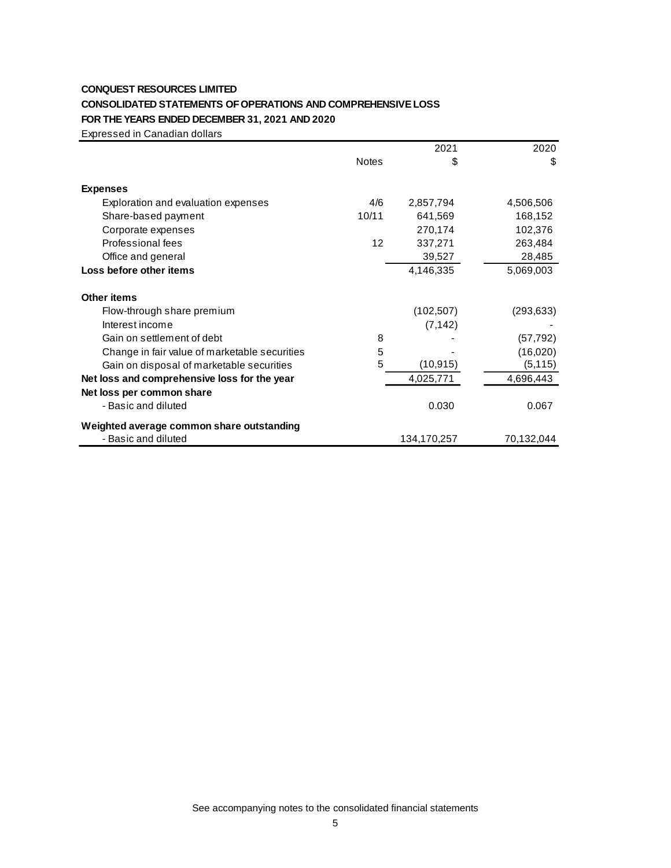# **CONQUEST RESOURCES LIMITED CONSOLIDATED STATEMENTS OF OPERATIONS AND COMPREHENSIVE LOSS FOR THE YEARS ENDED DECEMBER 31, 2021 AND 2020**

Expressed in Canadian dollars

|                                               |              | 2021        | 2020       |
|-----------------------------------------------|--------------|-------------|------------|
|                                               | <b>Notes</b> | \$          | \$         |
| <b>Expenses</b>                               |              |             |            |
| Exploration and evaluation expenses           | 4/6          | 2,857,794   | 4,506,506  |
| Share-based payment                           | 10/11        | 641,569     | 168,152    |
| Corporate expenses                            |              | 270,174     | 102,376    |
| Professional fees                             | 12           | 337,271     | 263,484    |
| Office and general                            |              | 39,527      | 28,485     |
| Loss before other items                       |              | 4,146,335   | 5,069,003  |
| Other items                                   |              |             |            |
| Flow-through share premium                    |              | (102, 507)  | (293, 633) |
| Interest income                               |              | (7, 142)    |            |
| Gain on settlement of debt                    | 8            |             | (57, 792)  |
| Change in fair value of marketable securities | 5            |             | (16,020)   |
| Gain on disposal of marketable securities     | 5            | (10, 915)   | (5, 115)   |
| Net loss and comprehensive loss for the year  |              | 4,025,771   | 4,696,443  |
| Net loss per common share                     |              |             |            |
| - Basic and diluted                           |              | 0.030       | 0.067      |
| Weighted average common share outstanding     |              |             |            |
| - Basic and diluted                           |              | 134,170,257 | 70,132,044 |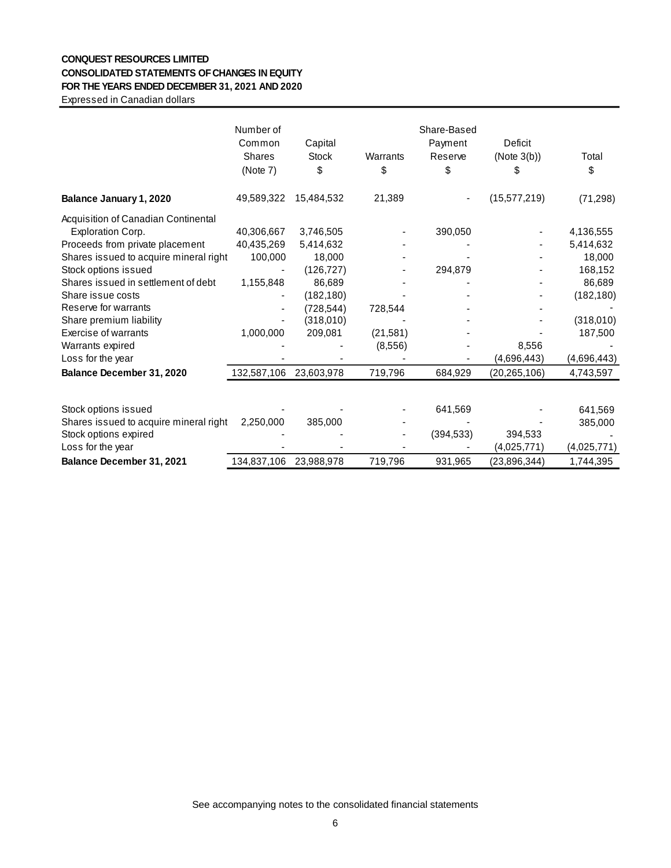# **CONQUEST RESOURCES LIMITED CONSOLIDATED STATEMENTS OF CHANGES IN EQUITY FOR THE YEARS ENDED DECEMBER 31, 2021 AND 2020**

Expressed in Canadian dollars

| Balance January 1, 2020                | Number of<br>Common<br><b>Shares</b><br>(Note 7)<br>49,589,322 | Capital<br><b>Stock</b><br>\$<br>15,484,532 | Warrants<br>\$<br>21,389 | Share-Based<br>Payment<br>Reserve<br>\$<br>$\blacksquare$ | Deficit<br>(Note 3(b))<br>S<br>(15, 577, 219) | Total<br>S<br>(71, 298) |
|----------------------------------------|----------------------------------------------------------------|---------------------------------------------|--------------------------|-----------------------------------------------------------|-----------------------------------------------|-------------------------|
| Acquisition of Canadian Continental    |                                                                |                                             |                          |                                                           |                                               |                         |
| Exploration Corp.                      | 40,306,667                                                     | 3,746,505                                   |                          | 390,050                                                   |                                               | 4,136,555               |
| Proceeds from private placement        | 40,435,269                                                     | 5,414,632                                   |                          |                                                           |                                               | 5,414,632               |
| Shares issued to acquire mineral right | 100,000                                                        | 18,000                                      |                          |                                                           |                                               | 18,000                  |
| Stock options issued                   |                                                                | (126, 727)                                  |                          | 294,879                                                   |                                               | 168,152                 |
| Shares issued in settlement of debt    | 1,155,848                                                      | 86,689                                      |                          |                                                           |                                               | 86,689                  |
| Share issue costs                      |                                                                | (182, 180)                                  |                          |                                                           |                                               | (182, 180)              |
| Reserve for warrants                   |                                                                | (728, 544)                                  | 728,544                  |                                                           |                                               |                         |
| Share premium liability                |                                                                | (318,010)                                   |                          |                                                           |                                               | (318,010)               |
| Exercise of warrants                   | 1,000,000                                                      | 209,081                                     | (21, 581)                |                                                           |                                               | 187,500                 |
| Warrants expired                       |                                                                |                                             | (8, 556)                 |                                                           | 8,556                                         |                         |
| Loss for the year                      |                                                                |                                             |                          |                                                           | (4,696,443)                                   | (4,696,443)             |
| Balance December 31, 2020              | 132,587,106                                                    | 23,603,978                                  | 719,796                  | 684,929                                                   | (20, 265, 106)                                | 4,743,597               |
|                                        |                                                                |                                             |                          |                                                           |                                               |                         |
| Stock options issued                   |                                                                |                                             |                          | 641,569                                                   |                                               | 641,569                 |
| Shares issued to acquire mineral right | 2,250,000                                                      | 385,000                                     |                          |                                                           |                                               | 385,000                 |
| Stock options expired                  |                                                                |                                             |                          | (394, 533)                                                | 394,533                                       |                         |
| Loss for the year                      |                                                                |                                             |                          |                                                           | (4,025,771)                                   | (4,025,771)             |
| Balance December 31, 2021              | 134,837,106                                                    | 23,988,978                                  | 719,796                  | 931,965                                                   | (23,896,344)                                  | 1,744,395               |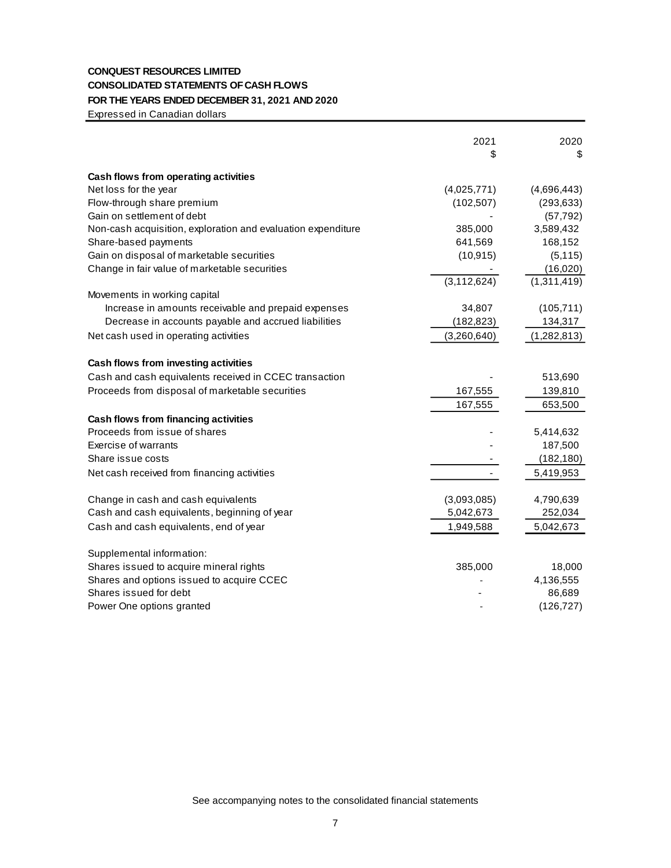# **CONQUEST RESOURCES LIMITED CONSOLIDATED STATEMENTS OF CASH FLOWS Condensed Interim Consolidated Statements of Cash Flows**

# **FOR THE YEARS ENDED DECEMBER 31, 2021 AND 2020**

Expressed in Canadian dollars

|                                                              | 2021<br>\$    | 2020<br>\$  |
|--------------------------------------------------------------|---------------|-------------|
| Cash flows from operating activities                         |               |             |
| Net loss for the year                                        | (4,025,771)   | (4,696,443) |
| Flow-through share premium                                   | (102, 507)    | (293, 633)  |
| Gain on settlement of debt                                   |               | (57, 792)   |
| Non-cash acquisition, exploration and evaluation expenditure | 385,000       | 3,589,432   |
| Share-based payments                                         | 641,569       | 168,152     |
| Gain on disposal of marketable securities                    | (10, 915)     | (5, 115)    |
| Change in fair value of marketable securities                |               | (16,020)    |
|                                                              | (3, 112, 624) | (1,311,419) |
| Movements in working capital                                 |               |             |
| Increase in amounts receivable and prepaid expenses          | 34,807        | (105, 711)  |
| Decrease in accounts payable and accrued liabilities         | (182, 823)    | 134,317     |
| Net cash used in operating activities                        | (3,260,640)   | (1,282,813) |
| Cash flows from investing activities                         |               |             |
| Cash and cash equivalents received in CCEC transaction       |               | 513,690     |
| Proceeds from disposal of marketable securities              | 167,555       | 139,810     |
|                                                              | 167,555       | 653,500     |
| Cash flows from financing activities                         |               |             |
| Proceeds from issue of shares                                |               | 5,414,632   |
| Exercise of warrants                                         |               | 187,500     |
| Share issue costs                                            |               | (182, 180)  |
| Net cash received from financing activities                  |               | 5,419,953   |
| Change in cash and cash equivalents                          | (3,093,085)   | 4,790,639   |
| Cash and cash equivalents, beginning of year                 | 5,042,673     | 252,034     |
| Cash and cash equivalents, end of year                       | 1,949,588     | 5,042,673   |
|                                                              |               |             |
| Supplemental information:                                    |               |             |
| Shares issued to acquire mineral rights                      | 385,000       | 18,000      |
| Shares and options issued to acquire CCEC                    |               | 4,136,555   |
| Shares issued for debt                                       |               | 86,689      |
| Power One options granted                                    |               | (126, 727)  |

See accompanying notes to the consolidated financial statements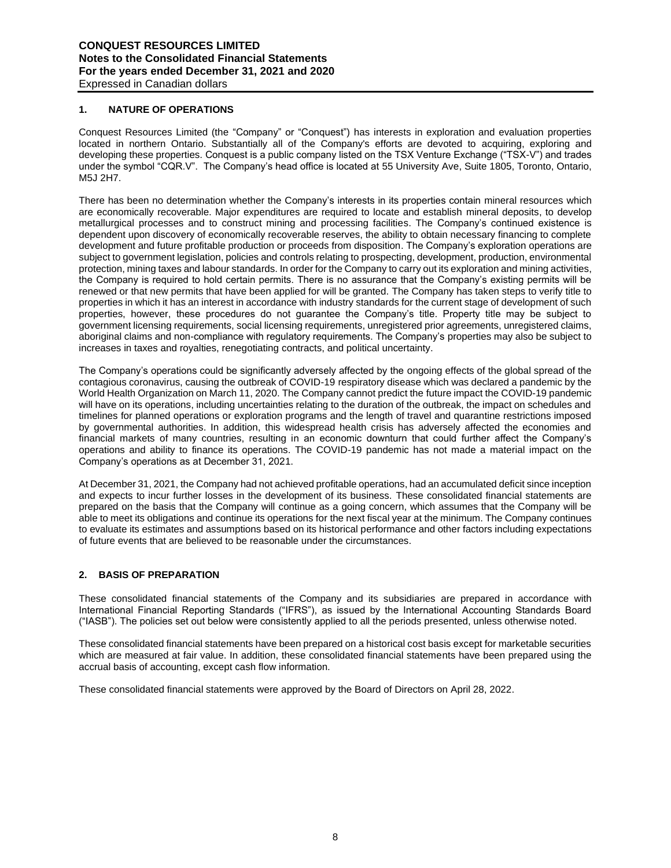## **1. NATURE OF OPERATIONS**

Conquest Resources Limited (the "Company" or "Conquest") has interests in exploration and evaluation properties located in northern Ontario. Substantially all of the Company's efforts are devoted to acquiring, exploring and developing these properties. Conquest is a public company listed on the TSX Venture Exchange ("TSX-V") and trades under the symbol "CQR.V". The Company's head office is located at 55 University Ave, Suite 1805, Toronto, Ontario, M5J 2H7.

There has been no determination whether the Company's interests in its properties contain mineral resources which are economically recoverable. Major expenditures are required to locate and establish mineral deposits, to develop metallurgical processes and to construct mining and processing facilities. The Company's continued existence is dependent upon discovery of economically recoverable reserves, the ability to obtain necessary financing to complete development and future profitable production or proceeds from disposition. The Company's exploration operations are subject to government legislation, policies and controls relating to prospecting, development, production, environmental protection, mining taxes and labour standards. In order for the Company to carry out its exploration and mining activities, the Company is required to hold certain permits. There is no assurance that the Company's existing permits will be renewed or that new permits that have been applied for will be granted. The Company has taken steps to verify title to properties in which it has an interest in accordance with industry standards for the current stage of development of such properties, however, these procedures do not guarantee the Company's title. Property title may be subject to government licensing requirements, social licensing requirements, unregistered prior agreements, unregistered claims, aboriginal claims and non-compliance with regulatory requirements. The Company's properties may also be subject to increases in taxes and royalties, renegotiating contracts, and political uncertainty.

The Company's operations could be significantly adversely affected by the ongoing effects of the global spread of the contagious coronavirus, causing the outbreak of COVID-19 respiratory disease which was declared a pandemic by the World Health Organization on March 11, 2020. The Company cannot predict the future impact the COVID-19 pandemic will have on its operations, including uncertainties relating to the duration of the outbreak, the impact on schedules and timelines for planned operations or exploration programs and the length of travel and quarantine restrictions imposed by governmental authorities. In addition, this widespread health crisis has adversely affected the economies and financial markets of many countries, resulting in an economic downturn that could further affect the Company's operations and ability to finance its operations. The COVID-19 pandemic has not made a material impact on the Company's operations as at December 31, 2021.

At December 31, 2021, the Company had not achieved profitable operations, had an accumulated deficit since inception and expects to incur further losses in the development of its business. These consolidated financial statements are prepared on the basis that the Company will continue as a going concern, which assumes that the Company will be able to meet its obligations and continue its operations for the next fiscal year at the minimum. The Company continues to evaluate its estimates and assumptions based on its historical performance and other factors including expectations of future events that are believed to be reasonable under the circumstances.

# **2. BASIS OF PREPARATION**

These consolidated financial statements of the Company and its subsidiaries are prepared in accordance with International Financial Reporting Standards ("IFRS"), as issued by the International Accounting Standards Board ("IASB"). The policies set out below were consistently applied to all the periods presented, unless otherwise noted.

These consolidated financial statements have been prepared on a historical cost basis except for marketable securities which are measured at fair value. In addition, these consolidated financial statements have been prepared using the accrual basis of accounting, except cash flow information.

These consolidated financial statements were approved by the Board of Directors on April 28, 2022.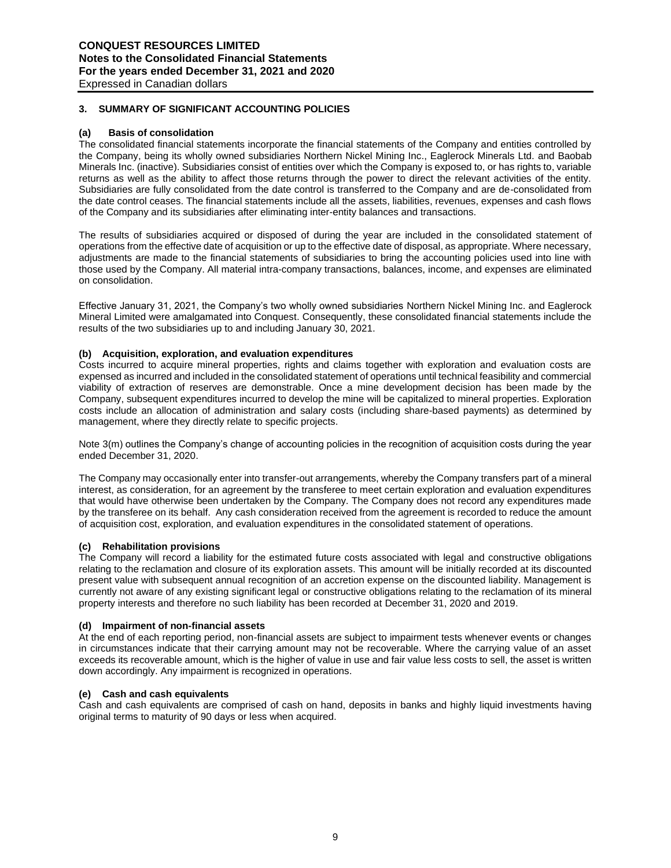# **3. SUMMARY OF SIGNIFICANT ACCOUNTING POLICIES**

### **(a) Basis of consolidation**

The consolidated financial statements incorporate the financial statements of the Company and entities controlled by the Company, being its wholly owned subsidiaries Northern Nickel Mining Inc., Eaglerock Minerals Ltd. and Baobab Minerals Inc. (inactive). Subsidiaries consist of entities over which the Company is exposed to, or has rights to, variable returns as well as the ability to affect those returns through the power to direct the relevant activities of the entity. Subsidiaries are fully consolidated from the date control is transferred to the Company and are de-consolidated from the date control ceases. The financial statements include all the assets, liabilities, revenues, expenses and cash flows of the Company and its subsidiaries after eliminating inter-entity balances and transactions.

The results of subsidiaries acquired or disposed of during the year are included in the consolidated statement of operations from the effective date of acquisition or up to the effective date of disposal, as appropriate. Where necessary, adjustments are made to the financial statements of subsidiaries to bring the accounting policies used into line with those used by the Company. All material intra-company transactions, balances, income, and expenses are eliminated on consolidation.

Effective January 31, 2021, the Company's two wholly owned subsidiaries Northern Nickel Mining Inc. and Eaglerock Mineral Limited were amalgamated into Conquest. Consequently, these consolidated financial statements include the results of the two subsidiaries up to and including January 30, 2021.

# **(b) Acquisition, exploration, and evaluation expenditures**

Costs incurred to acquire mineral properties, rights and claims together with exploration and evaluation costs are expensed as incurred and included in the consolidated statement of operations until technical feasibility and commercial viability of extraction of reserves are demonstrable. Once a mine development decision has been made by the Company, subsequent expenditures incurred to develop the mine will be capitalized to mineral properties. Exploration costs include an allocation of administration and salary costs (including share-based payments) as determined by management, where they directly relate to specific projects.

Note 3(m) outlines the Company's change of accounting policies in the recognition of acquisition costs during the year ended December 31, 2020.

The Company may occasionally enter into transfer-out arrangements, whereby the Company transfers part of a mineral interest, as consideration, for an agreement by the transferee to meet certain exploration and evaluation expenditures that would have otherwise been undertaken by the Company. The Company does not record any expenditures made by the transferee on its behalf. Any cash consideration received from the agreement is recorded to reduce the amount of acquisition cost, exploration, and evaluation expenditures in the consolidated statement of operations.

## **(c) Rehabilitation provisions**

The Company will record a liability for the estimated future costs associated with legal and constructive obligations relating to the reclamation and closure of its exploration assets. This amount will be initially recorded at its discounted present value with subsequent annual recognition of an accretion expense on the discounted liability. Management is currently not aware of any existing significant legal or constructive obligations relating to the reclamation of its mineral property interests and therefore no such liability has been recorded at December 31, 2020 and 2019.

### **(d) Impairment of non-financial assets**

At the end of each reporting period, non-financial assets are subject to impairment tests whenever events or changes in circumstances indicate that their carrying amount may not be recoverable. Where the carrying value of an asset exceeds its recoverable amount, which is the higher of value in use and fair value less costs to sell, the asset is written down accordingly. Any impairment is recognized in operations.

## **(e) Cash and cash equivalents**

Cash and cash equivalents are comprised of cash on hand, deposits in banks and highly liquid investments having original terms to maturity of 90 days or less when acquired.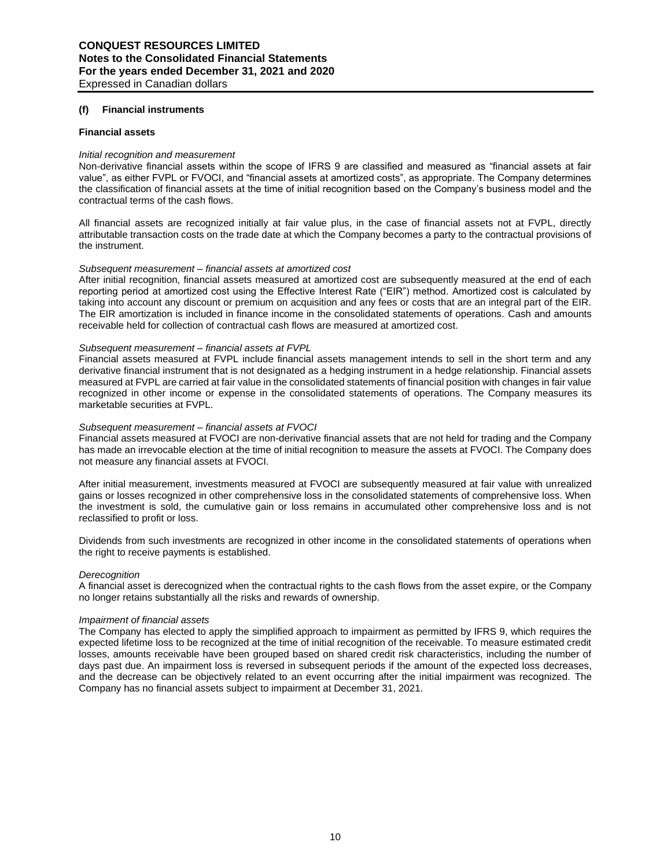#### **(f) Financial instruments**

#### **Financial assets**

### *Initial recognition and measurement*

Non-derivative financial assets within the scope of IFRS 9 are classified and measured as "financial assets at fair value", as either FVPL or FVOCI, and "financial assets at amortized costs", as appropriate. The Company determines the classification of financial assets at the time of initial recognition based on the Company's business model and the contractual terms of the cash flows.

All financial assets are recognized initially at fair value plus, in the case of financial assets not at FVPL, directly attributable transaction costs on the trade date at which the Company becomes a party to the contractual provisions of the instrument.

#### *Subsequent measurement – financial assets at amortized cost*

After initial recognition, financial assets measured at amortized cost are subsequently measured at the end of each reporting period at amortized cost using the Effective Interest Rate ("EIR") method. Amortized cost is calculated by taking into account any discount or premium on acquisition and any fees or costs that are an integral part of the EIR. The EIR amortization is included in finance income in the consolidated statements of operations. Cash and amounts receivable held for collection of contractual cash flows are measured at amortized cost.

#### *Subsequent measurement – financial assets at FVPL*

Financial assets measured at FVPL include financial assets management intends to sell in the short term and any derivative financial instrument that is not designated as a hedging instrument in a hedge relationship. Financial assets measured at FVPL are carried at fair value in the consolidated statements of financial position with changes in fair value recognized in other income or expense in the consolidated statements of operations. The Company measures its marketable securities at FVPL.

#### *Subsequent measurement – financial assets at FVOCI*

Financial assets measured at FVOCI are non-derivative financial assets that are not held for trading and the Company has made an irrevocable election at the time of initial recognition to measure the assets at FVOCI. The Company does not measure any financial assets at FVOCI.

After initial measurement, investments measured at FVOCI are subsequently measured at fair value with unrealized gains or losses recognized in other comprehensive loss in the consolidated statements of comprehensive loss. When the investment is sold, the cumulative gain or loss remains in accumulated other comprehensive loss and is not reclassified to profit or loss.

Dividends from such investments are recognized in other income in the consolidated statements of operations when the right to receive payments is established.

#### *Derecognition*

A financial asset is derecognized when the contractual rights to the cash flows from the asset expire, or the Company no longer retains substantially all the risks and rewards of ownership.

#### *Impairment of financial assets*

The Company has elected to apply the simplified approach to impairment as permitted by IFRS 9, which requires the expected lifetime loss to be recognized at the time of initial recognition of the receivable. To measure estimated credit losses, amounts receivable have been grouped based on shared credit risk characteristics, including the number of days past due. An impairment loss is reversed in subsequent periods if the amount of the expected loss decreases, and the decrease can be objectively related to an event occurring after the initial impairment was recognized. The Company has no financial assets subject to impairment at December 31, 2021.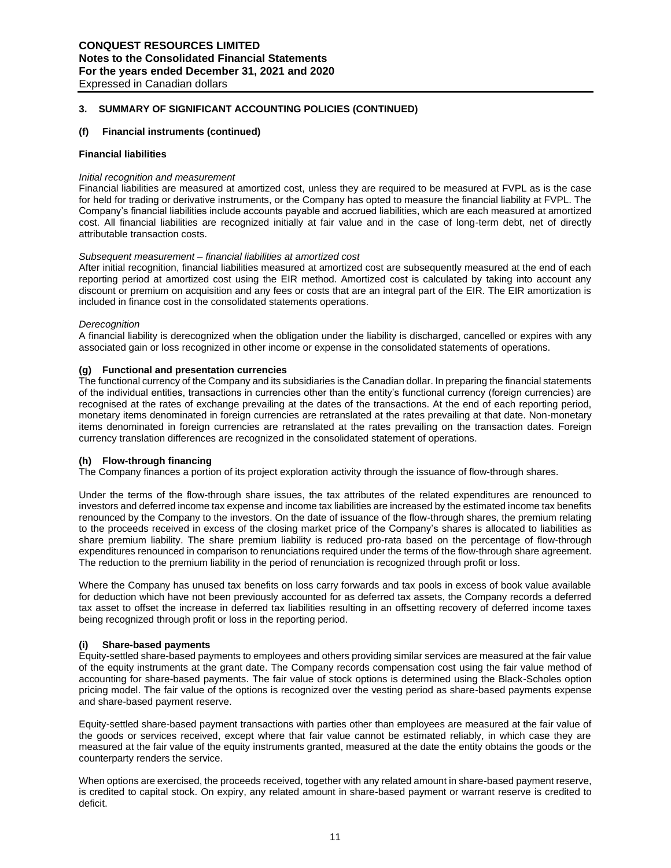# **3. SUMMARY OF SIGNIFICANT ACCOUNTING POLICIES (CONTINUED)**

#### **(f) Financial instruments (continued)**

#### **Financial liabilities**

#### *Initial recognition and measurement*

Financial liabilities are measured at amortized cost, unless they are required to be measured at FVPL as is the case for held for trading or derivative instruments, or the Company has opted to measure the financial liability at FVPL. The Company's financial liabilities include accounts payable and accrued liabilities, which are each measured at amortized cost. All financial liabilities are recognized initially at fair value and in the case of long-term debt, net of directly attributable transaction costs.

#### *Subsequent measurement – financial liabilities at amortized cost*

After initial recognition, financial liabilities measured at amortized cost are subsequently measured at the end of each reporting period at amortized cost using the EIR method. Amortized cost is calculated by taking into account any discount or premium on acquisition and any fees or costs that are an integral part of the EIR. The EIR amortization is included in finance cost in the consolidated statements operations.

#### *Derecognition*

A financial liability is derecognized when the obligation under the liability is discharged, cancelled or expires with any associated gain or loss recognized in other income or expense in the consolidated statements of operations.

#### **(g) Functional and presentation currencies**

The functional currency of the Company and its subsidiaries is the Canadian dollar. In preparing the financial statements of the individual entities, transactions in currencies other than the entity's functional currency (foreign currencies) are recognised at the rates of exchange prevailing at the dates of the transactions. At the end of each reporting period, monetary items denominated in foreign currencies are retranslated at the rates prevailing at that date. Non-monetary items denominated in foreign currencies are retranslated at the rates prevailing on the transaction dates. Foreign currency translation differences are recognized in the consolidated statement of operations.

### **(h) Flow-through financing**

The Company finances a portion of its project exploration activity through the issuance of flow-through shares.

Under the terms of the flow-through share issues, the tax attributes of the related expenditures are renounced to investors and deferred income tax expense and income tax liabilities are increased by the estimated income tax benefits renounced by the Company to the investors. On the date of issuance of the flow-through shares, the premium relating to the proceeds received in excess of the closing market price of the Company's shares is allocated to liabilities as share premium liability. The share premium liability is reduced pro-rata based on the percentage of flow-through expenditures renounced in comparison to renunciations required under the terms of the flow-through share agreement. The reduction to the premium liability in the period of renunciation is recognized through profit or loss.

Where the Company has unused tax benefits on loss carry forwards and tax pools in excess of book value available for deduction which have not been previously accounted for as deferred tax assets, the Company records a deferred tax asset to offset the increase in deferred tax liabilities resulting in an offsetting recovery of deferred income taxes being recognized through profit or loss in the reporting period.

## **(i) Share-based payments**

Equity-settled share-based payments to employees and others providing similar services are measured at the fair value of the equity instruments at the grant date. The Company records compensation cost using the fair value method of accounting for share-based payments. The fair value of stock options is determined using the Black-Scholes option pricing model. The fair value of the options is recognized over the vesting period as share-based payments expense and share-based payment reserve.

Equity-settled share-based payment transactions with parties other than employees are measured at the fair value of the goods or services received, except where that fair value cannot be estimated reliably, in which case they are measured at the fair value of the equity instruments granted, measured at the date the entity obtains the goods or the counterparty renders the service.

When options are exercised, the proceeds received, together with any related amount in share-based payment reserve, is credited to capital stock. On expiry, any related amount in share-based payment or warrant reserve is credited to deficit.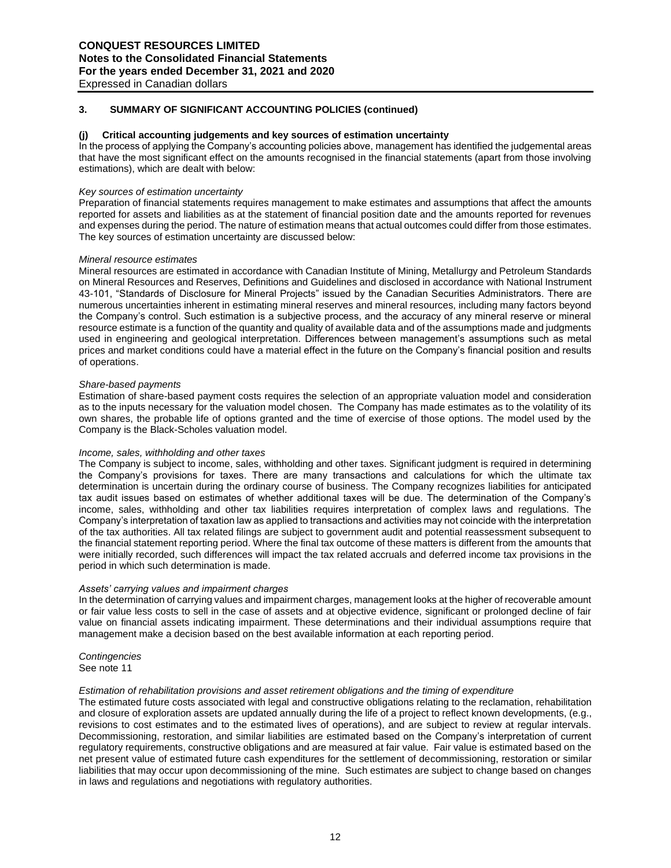## **3. SUMMARY OF SIGNIFICANT ACCOUNTING POLICIES (continued)**

#### **(j) Critical accounting judgements and key sources of estimation uncertainty**

In the process of applying the Company's accounting policies above, management has identified the judgemental areas that have the most significant effect on the amounts recognised in the financial statements (apart from those involving estimations), which are dealt with below:

#### *Key sources of estimation uncertainty*

Preparation of financial statements requires management to make estimates and assumptions that affect the amounts reported for assets and liabilities as at the statement of financial position date and the amounts reported for revenues and expenses during the period. The nature of estimation means that actual outcomes could differ from those estimates. The key sources of estimation uncertainty are discussed below:

#### *Mineral resource estimates*

Mineral resources are estimated in accordance with Canadian Institute of Mining, Metallurgy and Petroleum Standards on Mineral Resources and Reserves, Definitions and Guidelines and disclosed in accordance with National Instrument 43-101, "Standards of Disclosure for Mineral Projects" issued by the Canadian Securities Administrators. There are numerous uncertainties inherent in estimating mineral reserves and mineral resources, including many factors beyond the Company's control. Such estimation is a subjective process, and the accuracy of any mineral reserve or mineral resource estimate is a function of the quantity and quality of available data and of the assumptions made and judgments used in engineering and geological interpretation. Differences between management's assumptions such as metal prices and market conditions could have a material effect in the future on the Company's financial position and results of operations.

#### *Share-based payments*

Estimation of share-based payment costs requires the selection of an appropriate valuation model and consideration as to the inputs necessary for the valuation model chosen. The Company has made estimates as to the volatility of its own shares, the probable life of options granted and the time of exercise of those options. The model used by the Company is the Black-Scholes valuation model.

#### *Income, sales, withholding and other taxes*

The Company is subject to income, sales, withholding and other taxes. Significant judgment is required in determining the Company's provisions for taxes. There are many transactions and calculations for which the ultimate tax determination is uncertain during the ordinary course of business. The Company recognizes liabilities for anticipated tax audit issues based on estimates of whether additional taxes will be due. The determination of the Company's income, sales, withholding and other tax liabilities requires interpretation of complex laws and regulations. The Company's interpretation of taxation law as applied to transactions and activities may not coincide with the interpretation of the tax authorities. All tax related filings are subject to government audit and potential reassessment subsequent to the financial statement reporting period. Where the final tax outcome of these matters is different from the amounts that were initially recorded, such differences will impact the tax related accruals and deferred income tax provisions in the period in which such determination is made.

#### *Assets' carrying values and impairment charges*

In the determination of carrying values and impairment charges, management looks at the higher of recoverable amount or fair value less costs to sell in the case of assets and at objective evidence, significant or prolonged decline of fair value on financial assets indicating impairment. These determinations and their individual assumptions require that management make a decision based on the best available information at each reporting period.

*Contingencies* See note 11

#### *Estimation of rehabilitation provisions and asset retirement obligations and the timing of expenditure*

The estimated future costs associated with legal and constructive obligations relating to the reclamation, rehabilitation and closure of exploration assets are updated annually during the life of a project to reflect known developments, (e.g., revisions to cost estimates and to the estimated lives of operations), and are subject to review at regular intervals. Decommissioning, restoration, and similar liabilities are estimated based on the Company's interpretation of current regulatory requirements, constructive obligations and are measured at fair value. Fair value is estimated based on the net present value of estimated future cash expenditures for the settlement of decommissioning, restoration or similar liabilities that may occur upon decommissioning of the mine. Such estimates are subject to change based on changes in laws and regulations and negotiations with regulatory authorities.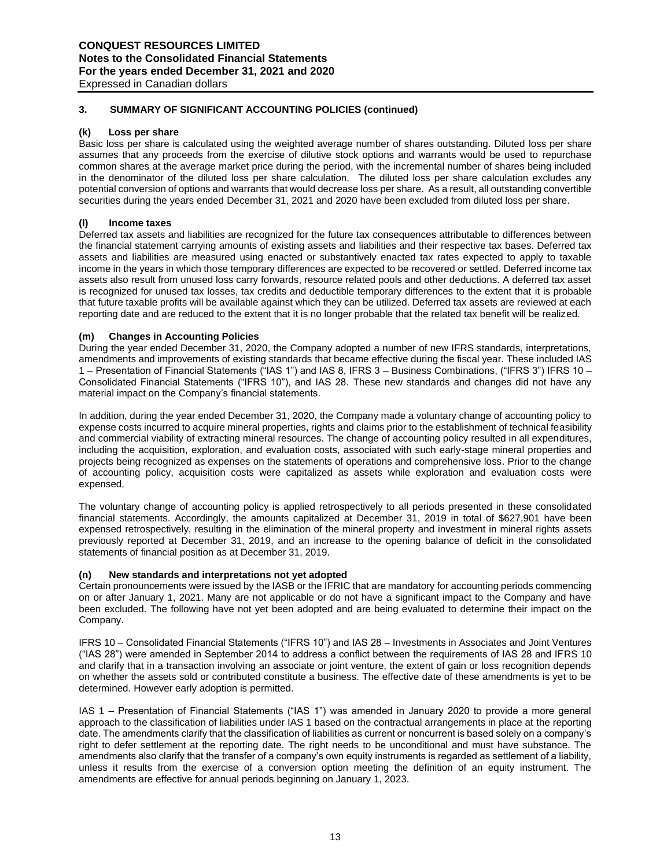# **3. SUMMARY OF SIGNIFICANT ACCOUNTING POLICIES (continued)**

### **(k) Loss per share**

Basic loss per share is calculated using the weighted average number of shares outstanding. Diluted loss per share assumes that any proceeds from the exercise of dilutive stock options and warrants would be used to repurchase common shares at the average market price during the period, with the incremental number of shares being included in the denominator of the diluted loss per share calculation. The diluted loss per share calculation excludes any potential conversion of options and warrants that would decrease loss per share. As a result, all outstanding convertible securities during the years ended December 31, 2021 and 2020 have been excluded from diluted loss per share.

## **(l) Income taxes**

Deferred tax assets and liabilities are recognized for the future tax consequences attributable to differences between the financial statement carrying amounts of existing assets and liabilities and their respective tax bases. Deferred tax assets and liabilities are measured using enacted or substantively enacted tax rates expected to apply to taxable income in the years in which those temporary differences are expected to be recovered or settled. Deferred income tax assets also result from unused loss carry forwards, resource related pools and other deductions. A deferred tax asset is recognized for unused tax losses, tax credits and deductible temporary differences to the extent that it is probable that future taxable profits will be available against which they can be utilized. Deferred tax assets are reviewed at each reporting date and are reduced to the extent that it is no longer probable that the related tax benefit will be realized.

## **(m) Changes in Accounting Policies**

During the year ended December 31, 2020, the Company adopted a number of new IFRS standards, interpretations, amendments and improvements of existing standards that became effective during the fiscal year. These included IAS 1 – Presentation of Financial Statements ("IAS 1") and IAS 8, IFRS 3 – Business Combinations, ("IFRS 3") IFRS 10 – Consolidated Financial Statements ("IFRS 10"), and IAS 28. These new standards and changes did not have any material impact on the Company's financial statements.

In addition, during the year ended December 31, 2020, the Company made a voluntary change of accounting policy to expense costs incurred to acquire mineral properties, rights and claims prior to the establishment of technical feasibility and commercial viability of extracting mineral resources. The change of accounting policy resulted in all expenditures, including the acquisition, exploration, and evaluation costs, associated with such early-stage mineral properties and projects being recognized as expenses on the statements of operations and comprehensive loss. Prior to the change of accounting policy, acquisition costs were capitalized as assets while exploration and evaluation costs were expensed.

The voluntary change of accounting policy is applied retrospectively to all periods presented in these consolidated financial statements. Accordingly, the amounts capitalized at December 31, 2019 in total of \$627,901 have been expensed retrospectively, resulting in the elimination of the mineral property and investment in mineral rights assets previously reported at December 31, 2019, and an increase to the opening balance of deficit in the consolidated statements of financial position as at December 31, 2019.

## **(n) New standards and interpretations not yet adopted**

Certain pronouncements were issued by the IASB or the IFRIC that are mandatory for accounting periods commencing on or after January 1, 2021. Many are not applicable or do not have a significant impact to the Company and have been excluded. The following have not yet been adopted and are being evaluated to determine their impact on the Company.

IFRS 10 – Consolidated Financial Statements ("IFRS 10") and IAS 28 – Investments in Associates and Joint Ventures ("IAS 28") were amended in September 2014 to address a conflict between the requirements of IAS 28 and IFRS 10 and clarify that in a transaction involving an associate or joint venture, the extent of gain or loss recognition depends on whether the assets sold or contributed constitute a business. The effective date of these amendments is yet to be determined. However early adoption is permitted.

IAS 1 – Presentation of Financial Statements ("IAS 1") was amended in January 2020 to provide a more general approach to the classification of liabilities under IAS 1 based on the contractual arrangements in place at the reporting date. The amendments clarify that the classification of liabilities as current or noncurrent is based solely on a company's right to defer settlement at the reporting date. The right needs to be unconditional and must have substance. The amendments also clarify that the transfer of a company's own equity instruments is regarded as settlement of a liability, unless it results from the exercise of a conversion option meeting the definition of an equity instrument. The amendments are effective for annual periods beginning on January 1, 2023.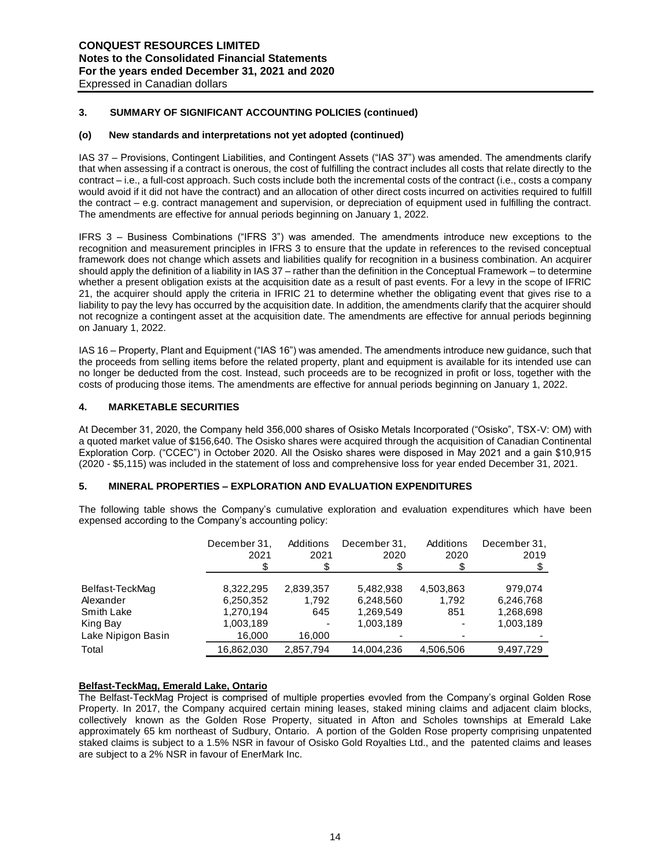# **3. SUMMARY OF SIGNIFICANT ACCOUNTING POLICIES (continued)**

## **(o) New standards and interpretations not yet adopted (continued)**

IAS 37 – Provisions, Contingent Liabilities, and Contingent Assets ("IAS 37") was amended. The amendments clarify that when assessing if a contract is onerous, the cost of fulfilling the contract includes all costs that relate directly to the contract – i.e., a full-cost approach. Such costs include both the incremental costs of the contract (i.e., costs a company would avoid if it did not have the contract) and an allocation of other direct costs incurred on activities required to fulfill the contract – e.g. contract management and supervision, or depreciation of equipment used in fulfilling the contract. The amendments are effective for annual periods beginning on January 1, 2022.

IFRS 3 – Business Combinations ("IFRS 3") was amended. The amendments introduce new exceptions to the recognition and measurement principles in IFRS 3 to ensure that the update in references to the revised conceptual framework does not change which assets and liabilities qualify for recognition in a business combination. An acquirer should apply the definition of a liability in IAS 37 – rather than the definition in the Conceptual Framework – to determine whether a present obligation exists at the acquisition date as a result of past events. For a levy in the scope of IFRIC 21, the acquirer should apply the criteria in IFRIC 21 to determine whether the obligating event that gives rise to a liability to pay the levy has occurred by the acquisition date. In addition, the amendments clarify that the acquirer should not recognize a contingent asset at the acquisition date. The amendments are effective for annual periods beginning on January 1, 2022.

IAS 16 – Property, Plant and Equipment ("IAS 16") was amended. The amendments introduce new guidance, such that the proceeds from selling items before the related property, plant and equipment is available for its intended use can no longer be deducted from the cost. Instead, such proceeds are to be recognized in profit or loss, together with the costs of producing those items. The amendments are effective for annual periods beginning on January 1, 2022.

## **4. MARKETABLE SECURITIES**

At December 31, 2020, the Company held 356,000 shares of Osisko Metals Incorporated ("Osisko", TSX-V: OM) with a quoted market value of \$156,640. The Osisko shares were acquired through the acquisition of Canadian Continental Exploration Corp. ("CCEC") in October 2020. All the Osisko shares were disposed in May 2021 and a gain \$10,915 (2020 - \$5,115) was included in the statement of loss and comprehensive loss for year ended December 31, 2021.

## **5. MINERAL PROPERTIES – EXPLORATION AND EVALUATION EXPENDITURES**

The following table shows the Company's cumulative exploration and evaluation expenditures which have been expensed according to the Company's accounting policy:

|                    | December 31,<br>2021<br>\$ | Additions<br>2021 | December 31.<br>2020 | Additions<br>2020 | December 31,<br>2019 |
|--------------------|----------------------------|-------------------|----------------------|-------------------|----------------------|
|                    |                            |                   |                      |                   |                      |
| Belfast-TeckMag    | 8,322,295                  | 2,839,357         | 5,482,938            | 4,503,863         | 979,074              |
| Alexander          | 6,250,352                  | 1.792             | 6,248,560            | 1.792             | 6,246,768            |
| Smith Lake         | 1,270,194                  | 645               | 1,269,549            | 851               | 1,268,698            |
| King Bay           | 1,003,189                  |                   | 1,003,189            |                   | 1,003,189            |
| Lake Nipigon Basin | 16,000                     | 16,000            |                      |                   |                      |
| Total              | 16,862,030                 | 2,857,794         | 14,004,236           | 4,506,506         | 9,497,729            |

## **Belfast-TeckMag, Emerald Lake, Ontario**

The Belfast-TeckMag Project is comprised of multiple properties evovled from the Company's orginal Golden Rose Property. In 2017, the Company acquired certain mining leases, staked mining claims and adjacent claim blocks, collectively known as the Golden Rose Property, situated in Afton and Scholes townships at Emerald Lake approximately 65 km northeast of Sudbury, Ontario. A portion of the Golden Rose property comprising unpatented staked claims is subject to a 1.5% NSR in favour of Osisko Gold Royalties Ltd., and the patented claims and leases are subject to a 2% NSR in favour of EnerMark Inc.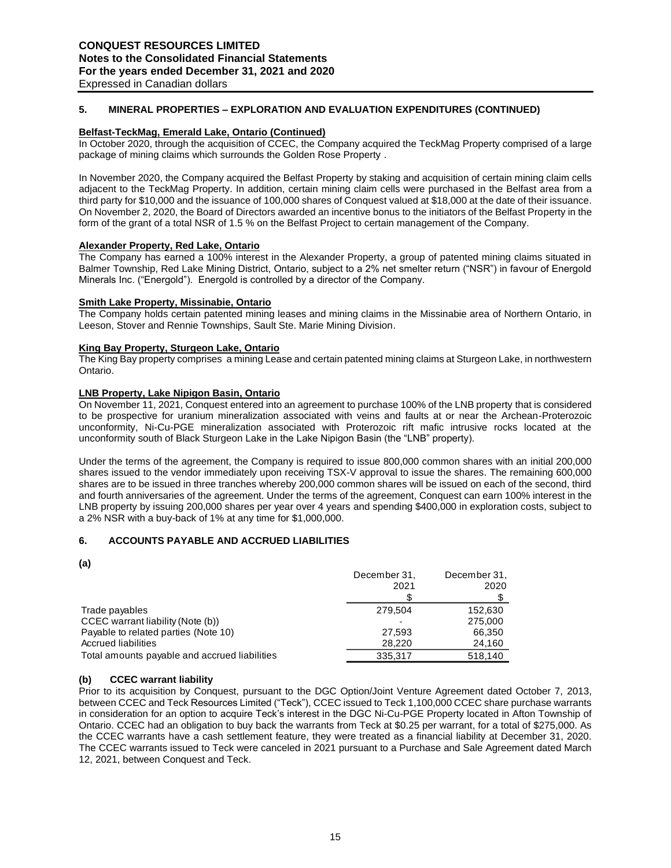## **5. MINERAL PROPERTIES – EXPLORATION AND EVALUATION EXPENDITURES (CONTINUED)**

### **Belfast-TeckMag, Emerald Lake, Ontario (Continued)**

In October 2020, through the acquisition of CCEC, the Company acquired the TeckMag Property comprised of a large package of mining claims which surrounds the Golden Rose Property .

In November 2020, the Company acquired the Belfast Property by staking and acquisition of certain mining claim cells adjacent to the TeckMag Property. In addition, certain mining claim cells were purchased in the Belfast area from a third party for \$10,000 and the issuance of 100,000 shares of Conquest valued at \$18,000 at the date of their issuance. On November 2, 2020, the Board of Directors awarded an incentive bonus to the initiators of the Belfast Property in the form of the grant of a total NSR of 1.5 % on the Belfast Project to certain management of the Company.

#### **Alexander Property, Red Lake, Ontario**

The Company has earned a 100% interest in the Alexander Property, a group of patented mining claims situated in Balmer Township, Red Lake Mining District, Ontario, subject to a 2% net smelter return ("NSR") in favour of Energold Minerals Inc. ("Energold"). Energold is controlled by a director of the Company.

#### **Smith Lake Property, Missinabie, Ontario**

The Company holds certain patented mining leases and mining claims in the Missinabie area of Northern Ontario, in Leeson, Stover and Rennie Townships, Sault Ste. Marie Mining Division.

# **King Bay Property, Sturgeon Lake, Ontario**

The King Bay property comprises a mining Lease and certain patented mining claims at Sturgeon Lake, in northwestern Ontario.

#### **LNB Property, Lake Nipigon Basin, Ontario**

On November 11, 2021, Conquest entered into an agreement to purchase 100% of the LNB property that is considered to be prospective for uranium mineralization associated with veins and faults at or near the Archean-Proterozoic unconformity, Ni-Cu-PGE mineralization associated with Proterozoic rift mafic intrusive rocks located at the unconformity south of Black Sturgeon Lake in the Lake Nipigon Basin (the "LNB" property).

Under the terms of the agreement, the Company is required to issue 800,000 common shares with an initial 200,000 shares issued to the vendor immediately upon receiving TSX-V approval to issue the shares. The remaining 600,000 shares are to be issued in three tranches whereby 200,000 common shares will be issued on each of the second, third and fourth anniversaries of the agreement. Under the terms of the agreement, Conquest can earn 100% interest in the LNB property by issuing 200,000 shares per year over 4 years and spending \$400,000 in exploration costs, subject to a 2% NSR with a buy-back of 1% at any time for \$1,000,000.

## **6. ACCOUNTS PAYABLE AND ACCRUED LIABILITIES**

| (a)                                           |              |              |
|-----------------------------------------------|--------------|--------------|
|                                               | December 31, | December 31, |
|                                               | 2021         | 2020         |
|                                               |              |              |
| Trade payables                                | 279.504      | 152.630      |
| CCEC warrant liability (Note (b))             |              | 275,000      |
| Payable to related parties (Note 10)          | 27.593       | 66,350       |
| Accrued liabilities                           | 28,220       | 24,160       |
| Total amounts payable and accrued liabilities | 335,317      | 518,140      |
|                                               |              |              |

#### **(b) CCEC warrant liability**

**(a)**

Prior to its acquisition by Conquest, pursuant to the DGC Option/Joint Venture Agreement dated October 7, 2013, between CCEC and Teck Resources Limited ("Teck"), CCEC issued to Teck 1,100,000 CCEC share purchase warrants in consideration for an option to acquire Teck's interest in the DGC Ni-Cu-PGE Property located in Afton Township of Ontario. CCEC had an obligation to buy back the warrants from Teck at \$0.25 per warrant, for a total of \$275,000. As the CCEC warrants have a cash settlement feature, they were treated as a financial liability at December 31, 2020. The CCEC warrants issued to Teck were canceled in 2021 pursuant to a Purchase and Sale Agreement dated March 12, 2021, between Conquest and Teck.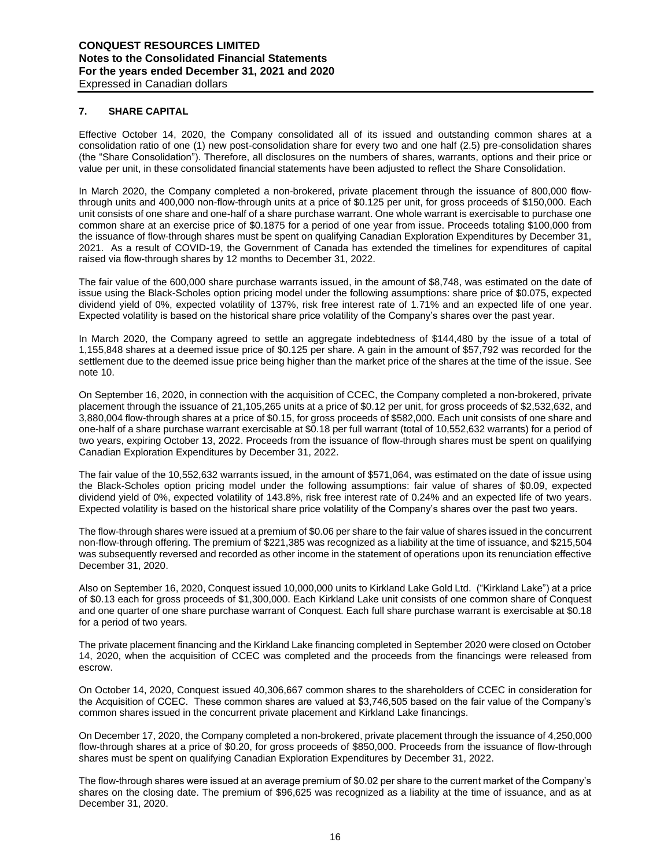# **7. SHARE CAPITAL**

Effective October 14, 2020, the Company consolidated all of its issued and outstanding common shares at a consolidation ratio of one (1) new post-consolidation share for every two and one half (2.5) pre-consolidation shares (the "Share Consolidation"). Therefore, all disclosures on the numbers of shares, warrants, options and their price or value per unit, in these consolidated financial statements have been adjusted to reflect the Share Consolidation.

In March 2020, the Company completed a non-brokered, private placement through the issuance of 800,000 flowthrough units and 400,000 non-flow-through units at a price of \$0.125 per unit, for gross proceeds of \$150,000. Each unit consists of one share and one-half of a share purchase warrant. One whole warrant is exercisable to purchase one common share at an exercise price of \$0.1875 for a period of one year from issue. Proceeds totaling \$100,000 from the issuance of flow-through shares must be spent on qualifying Canadian Exploration Expenditures by December 31, 2021. As a result of COVID-19, the Government of Canada has extended the timelines for expenditures of capital raised via flow-through shares by 12 months to December 31, 2022.

The fair value of the 600,000 share purchase warrants issued, in the amount of \$8,748, was estimated on the date of issue using the Black-Scholes option pricing model under the following assumptions: share price of \$0.075, expected dividend yield of 0%, expected volatility of 137%, risk free interest rate of 1.71% and an expected life of one year. Expected volatility is based on the historical share price volatility of the Company's shares over the past year.

In March 2020, the Company agreed to settle an aggregate indebtedness of \$144,480 by the issue of a total of 1,155,848 shares at a deemed issue price of \$0.125 per share. A gain in the amount of \$57,792 was recorded for the settlement due to the deemed issue price being higher than the market price of the shares at the time of the issue. See note 10.

On September 16, 2020, in connection with the acquisition of CCEC, the Company completed a non-brokered, private placement through the issuance of 21,105,265 units at a price of \$0.12 per unit, for gross proceeds of \$2,532,632, and 3,880,004 flow-through shares at a price of \$0.15, for gross proceeds of \$582,000. Each unit consists of one share and one-half of a share purchase warrant exercisable at \$0.18 per full warrant (total of 10,552,632 warrants) for a period of two years, expiring October 13, 2022. Proceeds from the issuance of flow-through shares must be spent on qualifying Canadian Exploration Expenditures by December 31, 2022.

The fair value of the 10,552,632 warrants issued, in the amount of \$571,064, was estimated on the date of issue using the Black-Scholes option pricing model under the following assumptions: fair value of shares of \$0.09, expected dividend yield of 0%, expected volatility of 143.8%, risk free interest rate of 0.24% and an expected life of two years. Expected volatility is based on the historical share price volatility of the Company's shares over the past two years.

The flow-through shares were issued at a premium of \$0.06 per share to the fair value of shares issued in the concurrent non-flow-through offering. The premium of \$221,385 was recognized as a liability at the time of issuance, and \$215,504 was subsequently reversed and recorded as other income in the statement of operations upon its renunciation effective December 31, 2020.

Also on September 16, 2020, Conquest issued 10,000,000 units to Kirkland Lake Gold Ltd. ("Kirkland Lake") at a price of \$0.13 each for gross proceeds of \$1,300,000. Each Kirkland Lake unit consists of one common share of Conquest and one quarter of one share purchase warrant of Conquest. Each full share purchase warrant is exercisable at \$0.18 for a period of two years.

The private placement financing and the Kirkland Lake financing completed in September 2020 were closed on October 14, 2020, when the acquisition of CCEC was completed and the proceeds from the financings were released from escrow.

On October 14, 2020, Conquest issued 40,306,667 common shares to the shareholders of CCEC in consideration for the Acquisition of CCEC. These common shares are valued at \$3,746,505 based on the fair value of the Company's common shares issued in the concurrent private placement and Kirkland Lake financings.

On December 17, 2020, the Company completed a non-brokered, private placement through the issuance of 4,250,000 flow-through shares at a price of \$0.20, for gross proceeds of \$850,000. Proceeds from the issuance of flow-through shares must be spent on qualifying Canadian Exploration Expenditures by December 31, 2022.

The flow-through shares were issued at an average premium of \$0.02 per share to the current market of the Company's shares on the closing date. The premium of \$96,625 was recognized as a liability at the time of issuance, and as at December 31, 2020.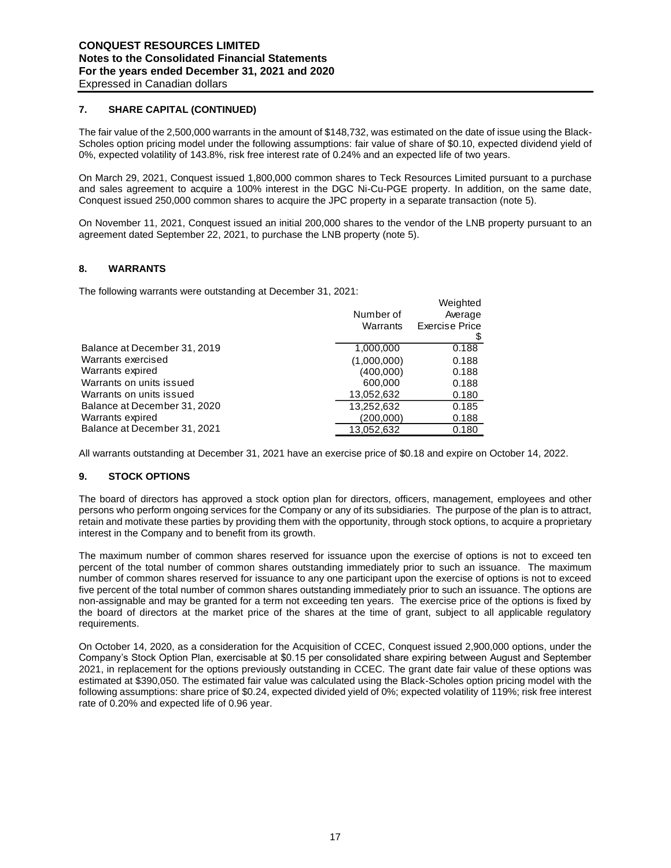## **7. SHARE CAPITAL (CONTINUED)**

The fair value of the 2,500,000 warrants in the amount of \$148,732, was estimated on the date of issue using the Black-Scholes option pricing model under the following assumptions: fair value of share of \$0.10, expected dividend yield of 0%, expected volatility of 143.8%, risk free interest rate of 0.24% and an expected life of two years.

On March 29, 2021, Conquest issued 1,800,000 common shares to Teck Resources Limited pursuant to a purchase and sales agreement to acquire a 100% interest in the DGC Ni-Cu-PGE property. In addition, on the same date, Conquest issued 250,000 common shares to acquire the JPC property in a separate transaction (note 5).

On November 11, 2021, Conquest issued an initial 200,000 shares to the vendor of the LNB property pursuant to an agreement dated September 22, 2021, to purchase the LNB property (note 5).

**Mainhtad** 

# **8. WARRANTS**

The following warrants were outstanding at December 31, 2021:

|                              | Number of   | "`````''`''``''<br>Average |
|------------------------------|-------------|----------------------------|
|                              | Warrants    | <b>Exercise Price</b>      |
|                              |             |                            |
| Balance at December 31, 2019 | 1,000,000   | 0.188                      |
| Warrants exercised           | (1,000,000) | 0.188                      |
| Warrants expired             | (400,000)   | 0.188                      |
| Warrants on units issued     | 600,000     | 0.188                      |
| Warrants on units issued     | 13,052,632  | 0.180                      |
| Balance at December 31, 2020 | 13,252,632  | 0.185                      |
| Warrants expired             | (200,000)   | 0.188                      |
| Balance at December 31, 2021 | 13.052.632  | 0.180                      |

All warrants outstanding at December 31, 2021 have an exercise price of \$0.18 and expire on October 14, 2022.

# **9. STOCK OPTIONS**

The board of directors has approved a stock option plan for directors, officers, management, employees and other persons who perform ongoing services for the Company or any of its subsidiaries. The purpose of the plan is to attract, retain and motivate these parties by providing them with the opportunity, through stock options, to acquire a proprietary interest in the Company and to benefit from its growth.

The maximum number of common shares reserved for issuance upon the exercise of options is not to exceed ten percent of the total number of common shares outstanding immediately prior to such an issuance. The maximum number of common shares reserved for issuance to any one participant upon the exercise of options is not to exceed five percent of the total number of common shares outstanding immediately prior to such an issuance. The options are non-assignable and may be granted for a term not exceeding ten years. The exercise price of the options is fixed by the board of directors at the market price of the shares at the time of grant, subject to all applicable regulatory requirements.

On October 14, 2020, as a consideration for the Acquisition of CCEC, Conquest issued 2,900,000 options, under the Company's Stock Option Plan, exercisable at \$0.15 per consolidated share expiring between August and September 2021, in replacement for the options previously outstanding in CCEC. The grant date fair value of these options was estimated at \$390,050. The estimated fair value was calculated using the Black-Scholes option pricing model with the following assumptions: share price of \$0.24, expected divided yield of 0%; expected volatility of 119%; risk free interest rate of 0.20% and expected life of 0.96 year.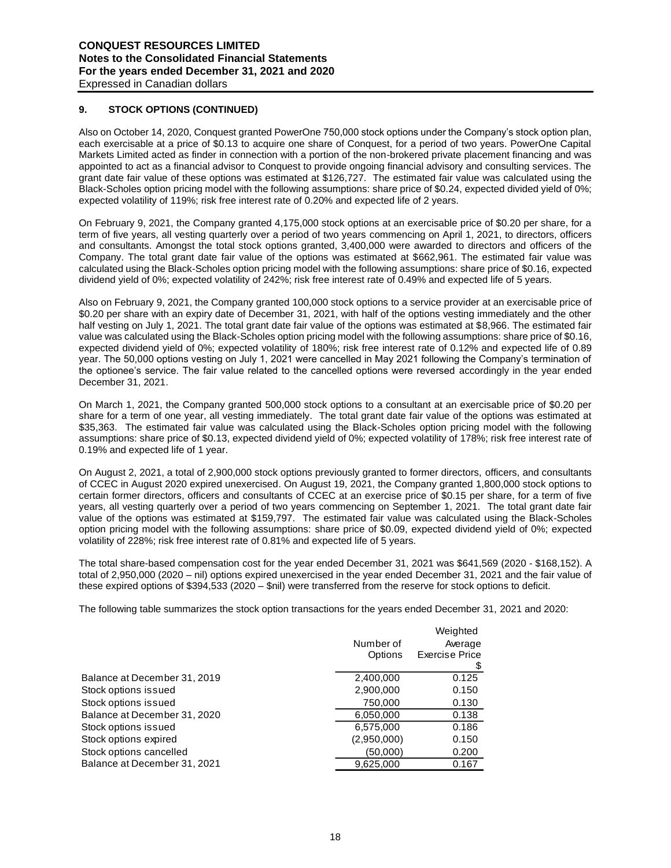## **9. STOCK OPTIONS (CONTINUED)**

Also on October 14, 2020, Conquest granted PowerOne 750,000 stock options under the Company's stock option plan, each exercisable at a price of \$0.13 to acquire one share of Conquest, for a period of two years. PowerOne Capital Markets Limited acted as finder in connection with a portion of the non-brokered private placement financing and was appointed to act as a financial advisor to Conquest to provide ongoing financial advisory and consulting services. The grant date fair value of these options was estimated at \$126,727. The estimated fair value was calculated using the Black-Scholes option pricing model with the following assumptions: share price of \$0.24, expected divided yield of 0%; expected volatility of 119%; risk free interest rate of 0.20% and expected life of 2 years.

On February 9, 2021, the Company granted 4,175,000 stock options at an exercisable price of \$0.20 per share, for a term of five years, all vesting quarterly over a period of two years commencing on April 1, 2021, to directors, officers and consultants. Amongst the total stock options granted, 3,400,000 were awarded to directors and officers of the Company. The total grant date fair value of the options was estimated at \$662,961. The estimated fair value was calculated using the Black-Scholes option pricing model with the following assumptions: share price of \$0.16, expected dividend yield of 0%; expected volatility of 242%; risk free interest rate of 0.49% and expected life of 5 years.

Also on February 9, 2021, the Company granted 100,000 stock options to a service provider at an exercisable price of \$0.20 per share with an expiry date of December 31, 2021, with half of the options vesting immediately and the other half vesting on July 1, 2021. The total grant date fair value of the options was estimated at \$8,966. The estimated fair value was calculated using the Black-Scholes option pricing model with the following assumptions: share price of \$0.16, expected dividend yield of 0%; expected volatility of 180%; risk free interest rate of 0.12% and expected life of 0.89 year. The 50,000 options vesting on July 1, 2021 were cancelled in May 2021 following the Company's termination of the optionee's service. The fair value related to the cancelled options were reversed accordingly in the year ended December 31, 2021.

On March 1, 2021, the Company granted 500,000 stock options to a consultant at an exercisable price of \$0.20 per share for a term of one year, all vesting immediately. The total grant date fair value of the options was estimated at \$35,363. The estimated fair value was calculated using the Black-Scholes option pricing model with the following assumptions: share price of \$0.13, expected dividend yield of 0%; expected volatility of 178%; risk free interest rate of 0.19% and expected life of 1 year.

On August 2, 2021, a total of 2,900,000 stock options previously granted to former directors, officers, and consultants of CCEC in August 2020 expired unexercised. On August 19, 2021, the Company granted 1,800,000 stock options to certain former directors, officers and consultants of CCEC at an exercise price of \$0.15 per share, for a term of five years, all vesting quarterly over a period of two years commencing on September 1, 2021. The total grant date fair value of the options was estimated at \$159,797. The estimated fair value was calculated using the Black-Scholes option pricing model with the following assumptions: share price of \$0.09, expected dividend yield of 0%; expected volatility of 228%; risk free interest rate of 0.81% and expected life of 5 years.

The total share-based compensation cost for the year ended December 31, 2021 was \$641,569 (2020 - \$168,152). A total of 2,950,000 (2020 – nil) options expired unexercised in the year ended December 31, 2021 and the fair value of these expired options of \$394,533 (2020 – \$nil) were transferred from the reserve for stock options to deficit.

The following table summarizes the stock option transactions for the years ended December 31, 2021 and 2020:

|                              | Number of<br>Options | Weighted<br>Average<br>Exercise Price |
|------------------------------|----------------------|---------------------------------------|
| Balance at December 31, 2019 | 2,400,000            | 0.125                                 |
| Stock options issued         | 2,900,000            | 0.150                                 |
| Stock options issued         | 750,000              | 0.130                                 |
| Balance at December 31, 2020 | 6,050,000            | 0.138                                 |
| Stock options issued         | 6,575,000            | 0.186                                 |
| Stock options expired        | (2,950,000)          | 0.150                                 |
| Stock options cancelled      | (50,000)             | 0.200                                 |
| Balance at December 31, 2021 | 9,625,000            | 0.167                                 |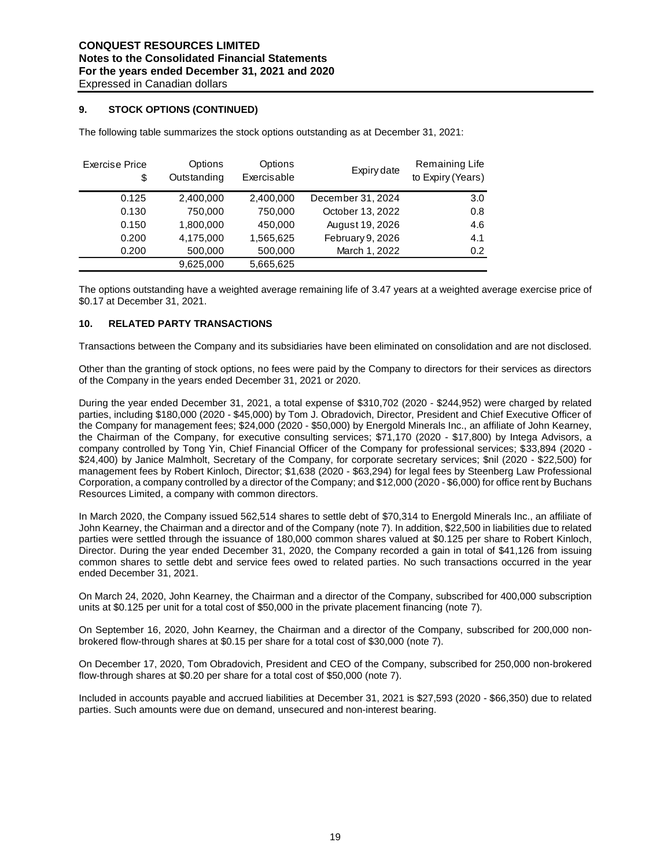## **9. STOCK OPTIONS (CONTINUED)**

| Exercise Price<br>\$ | Options<br>Outstanding | Options<br>Exercisable | Expiry date       | Remaining Life<br>to Expiry (Years) |
|----------------------|------------------------|------------------------|-------------------|-------------------------------------|
| 0.125                | 2,400,000              | 2,400,000              | December 31, 2024 | 3.0                                 |
| 0.130                | 750,000                | 750,000                | October 13, 2022  | 0.8                                 |
| 0.150                | 1,800,000              | 450,000                | August 19, 2026   | 4.6                                 |
| 0.200                | 4,175,000              | 1,565,625              | February 9, 2026  | 4.1                                 |
| 0.200                | 500,000                | 500,000                | March 1, 2022     | 0.2                                 |
|                      | 9,625,000              | 5,665,625              |                   |                                     |

The following table summarizes the stock options outstanding as at December 31, 2021:

The options outstanding have a weighted average remaining life of 3.47 years at a weighted average exercise price of \$0.17 at December 31, 2021.

## **10. RELATED PARTY TRANSACTIONS**

Transactions between the Company and its subsidiaries have been eliminated on consolidation and are not disclosed.

Other than the granting of stock options, no fees were paid by the Company to directors for their services as directors of the Company in the years ended December 31, 2021 or 2020.

During the year ended December 31, 2021, a total expense of \$310,702 (2020 - \$244,952) were charged by related parties, including \$180,000 (2020 - \$45,000) by Tom J. Obradovich, Director, President and Chief Executive Officer of the Company for management fees; \$24,000 (2020 - \$50,000) by Energold Minerals Inc., an affiliate of John Kearney, the Chairman of the Company, for executive consulting services; \$71,170 (2020 - \$17,800) by Intega Advisors, a company controlled by Tong Yin, Chief Financial Officer of the Company for professional services; \$33,894 (2020 - \$24,400) by Janice Malmholt, Secretary of the Company, for corporate secretary services; \$nil (2020 - \$22,500) for management fees by Robert Kinloch, Director; \$1,638 (2020 - \$63,294) for legal fees by Steenberg Law Professional Corporation, a company controlled by a director of the Company; and \$12,000 (2020 - \$6,000) for office rent by Buchans Resources Limited, a company with common directors.

In March 2020, the Company issued 562,514 shares to settle debt of \$70,314 to Energold Minerals Inc., an affiliate of John Kearney, the Chairman and a director and of the Company (note 7). In addition, \$22,500 in liabilities due to related parties were settled through the issuance of 180,000 common shares valued at \$0.125 per share to Robert Kinloch, Director. During the year ended December 31, 2020, the Company recorded a gain in total of \$41,126 from issuing common shares to settle debt and service fees owed to related parties. No such transactions occurred in the year ended December 31, 2021.

On March 24, 2020, John Kearney, the Chairman and a director of the Company, subscribed for 400,000 subscription units at \$0.125 per unit for a total cost of \$50,000 in the private placement financing (note 7).

On September 16, 2020, John Kearney, the Chairman and a director of the Company, subscribed for 200,000 nonbrokered flow-through shares at \$0.15 per share for a total cost of \$30,000 (note 7).

On December 17, 2020, Tom Obradovich, President and CEO of the Company, subscribed for 250,000 non-brokered flow-through shares at \$0.20 per share for a total cost of \$50,000 (note 7).

Included in accounts payable and accrued liabilities at December 31, 2021 is \$27,593 (2020 - \$66,350) due to related parties. Such amounts were due on demand, unsecured and non-interest bearing.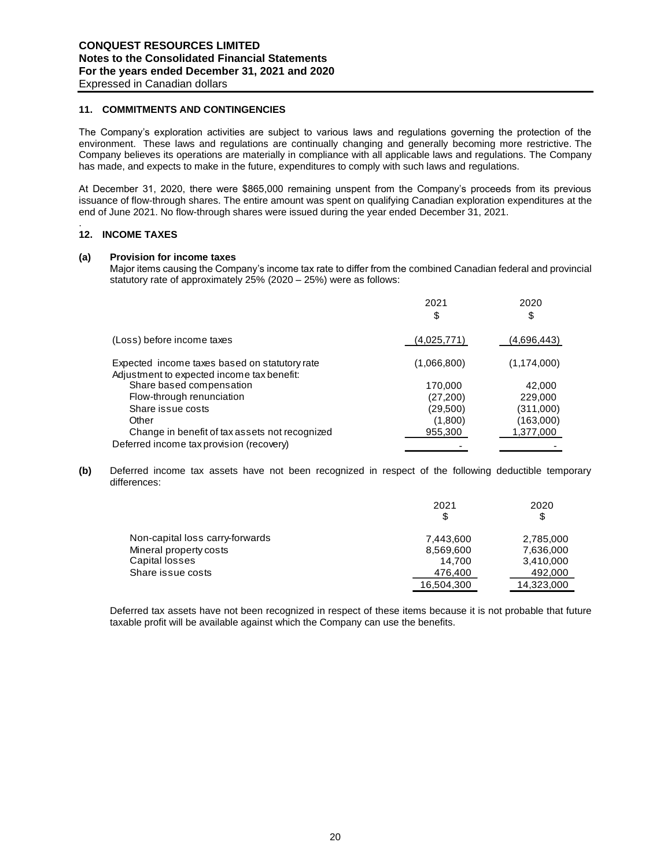## **11. COMMITMENTS AND CONTINGENCIES**

The Company's exploration activities are subject to various laws and regulations governing the protection of the environment. These laws and regulations are continually changing and generally becoming more restrictive. The Company believes its operations are materially in compliance with all applicable laws and regulations. The Company has made, and expects to make in the future, expenditures to comply with such laws and regulations.

At December 31, 2020, there were \$865,000 remaining unspent from the Company's proceeds from its previous issuance of flow-through shares. The entire amount was spent on qualifying Canadian exploration expenditures at the end of June 2021. No flow-through shares were issued during the year ended December 31, 2021.

#### . **12. INCOME TAXES**

#### **(a) Provision for income taxes**

Major items causing the Company's income tax rate to differ from the combined Canadian federal and provincial statutory rate of approximately 25% (2020 – 25%) were as follows:

|                                                                                             | 2021<br>\$   | 2020<br>\$  |
|---------------------------------------------------------------------------------------------|--------------|-------------|
| (Loss) before income taxes                                                                  | (4.025, 771) | (4,696,443) |
| Expected income taxes based on statutory rate<br>Adjustment to expected income tax benefit: | (1.066, 800) | (1,174,000) |
| Share based compensation                                                                    | 170,000      | 42.000      |
| Flow-through renunciation                                                                   | (27,200)     | 229,000     |
| Share issue costs                                                                           | (29,500)     | (311,000)   |
| Other                                                                                       | (1,800)      | (163,000)   |
| Change in benefit of tax assets not recognized                                              | 955,300      | 1,377,000   |
| Deferred income tax provision (recovery)                                                    |              |             |

#### **(b)** Deferred income tax assets have not been recognized in respect of the following deductible temporary differences:

|                                 | 2021<br>S  | 2020<br>S  |
|---------------------------------|------------|------------|
| Non-capital loss carry-forwards | 7.443.600  | 2,785,000  |
| Mineral property costs          | 8,569,600  | 7,636,000  |
| Capital losses                  | 14.700     | 3,410,000  |
| Share issue costs               | 476.400    | 492,000    |
|                                 | 16.504.300 | 14,323,000 |

Deferred tax assets have not been recognized in respect of these items because it is not probable that future taxable profit will be available against which the Company can use the benefits.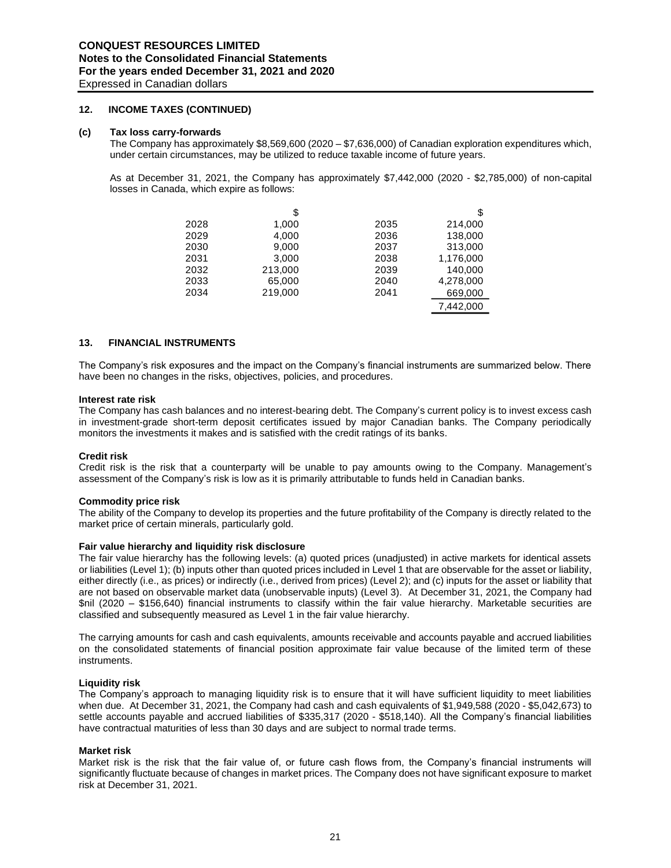#### **12. INCOME TAXES (CONTINUED)**

#### **(c) Tax loss carry-forwards**

The Company has approximately \$8,569,600 (2020 – \$7,636,000) of Canadian exploration expenditures which, under certain circumstances, may be utilized to reduce taxable income of future years.

As at December 31, 2021, the Company has approximately \$7,442,000 (2020 - \$2,785,000) of non-capital losses in Canada, which expire as follows:

|      | \$      |      | \$        |
|------|---------|------|-----------|
| 2028 | 1,000   | 2035 | 214,000   |
| 2029 | 4,000   | 2036 | 138,000   |
| 2030 | 9,000   | 2037 | 313,000   |
| 2031 | 3,000   | 2038 | 1,176,000 |
| 2032 | 213,000 | 2039 | 140,000   |
| 2033 | 65,000  | 2040 | 4,278,000 |
| 2034 | 219,000 | 2041 | 669,000   |
|      |         |      | 7.442.000 |

## **13. FINANCIAL INSTRUMENTS**

The Company's risk exposures and the impact on the Company's financial instruments are summarized below. There have been no changes in the risks, objectives, policies, and procedures.

#### **Interest rate risk**

The Company has cash balances and no interest-bearing debt. The Company's current policy is to invest excess cash in investment-grade short-term deposit certificates issued by major Canadian banks. The Company periodically monitors the investments it makes and is satisfied with the credit ratings of its banks.

#### **Credit risk**

Credit risk is the risk that a counterparty will be unable to pay amounts owing to the Company. Management's assessment of the Company's risk is low as it is primarily attributable to funds held in Canadian banks.

#### **Commodity price risk**

The ability of the Company to develop its properties and the future profitability of the Company is directly related to the market price of certain minerals, particularly gold.

#### **Fair value hierarchy and liquidity risk disclosure**

The fair value hierarchy has the following levels: (a) quoted prices (unadjusted) in active markets for identical assets or liabilities (Level 1); (b) inputs other than quoted prices included in Level 1 that are observable for the asset or liability, either directly (i.e., as prices) or indirectly (i.e., derived from prices) (Level 2); and (c) inputs for the asset or liability that are not based on observable market data (unobservable inputs) (Level 3). At December 31, 2021, the Company had \$nil (2020 – \$156,640) financial instruments to classify within the fair value hierarchy. Marketable securities are classified and subsequently measured as Level 1 in the fair value hierarchy.

The carrying amounts for cash and cash equivalents, amounts receivable and accounts payable and accrued liabilities on the consolidated statements of financial position approximate fair value because of the limited term of these instruments.

#### **Liquidity risk**

The Company's approach to managing liquidity risk is to ensure that it will have sufficient liquidity to meet liabilities when due. At December 31, 2021, the Company had cash and cash equivalents of \$1,949,588 (2020 - \$5,042,673) to settle accounts payable and accrued liabilities of \$335,317 (2020 - \$518,140). All the Company's financial liabilities have contractual maturities of less than 30 days and are subject to normal trade terms.

#### **Market risk**

Market risk is the risk that the fair value of, or future cash flows from, the Company's financial instruments will significantly fluctuate because of changes in market prices. The Company does not have significant exposure to market risk at December 31, 2021.